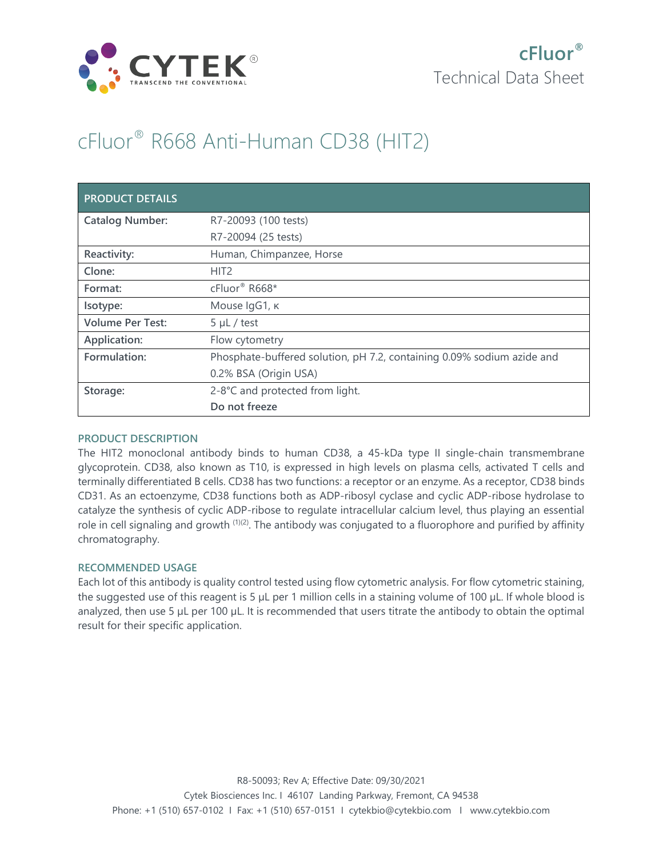

# cFluor® R668 Anti-Human CD38 (HIT2)

| <b>PRODUCT DETAILS</b>  |                                                                        |
|-------------------------|------------------------------------------------------------------------|
| <b>Catalog Number:</b>  | R7-20093 (100 tests)                                                   |
|                         | R7-20094 (25 tests)                                                    |
| Reactivity:             | Human, Chimpanzee, Horse                                               |
| Clone:                  | HIT <sub>2</sub>                                                       |
| Format:                 | cFluor® R668*                                                          |
| Isotype:                | Mouse IgG1, к                                                          |
| <b>Volume Per Test:</b> | $5 \mu L$ / test                                                       |
| Application:            | Flow cytometry                                                         |
| Formulation:            | Phosphate-buffered solution, pH 7.2, containing 0.09% sodium azide and |
|                         | 0.2% BSA (Origin USA)                                                  |
| Storage:                | 2-8°C and protected from light.                                        |
|                         | Do not freeze                                                          |

## **PRODUCT DESCRIPTION**

The HIT2 monoclonal antibody binds to human CD38, a 45-kDa type II single-chain transmembrane glycoprotein. CD38, also known as T10, is expressed in high levels on plasma cells, activated T cells and terminally differentiated B cells. CD38 has two functions: a receptor or an enzyme. As a receptor, CD38 binds CD31. As an ectoenzyme, CD38 functions both as ADP-ribosyl cyclase and cyclic ADP-ribose hydrolase to catalyze the synthesis of cyclic ADP-ribose to regulate intracellular calcium level, thus playing an essential role in cell signaling and growth <sup>(1)(2)</sup>. The antibody was conjugated to a fluorophore and purified by affinity chromatography.

## **RECOMMENDED USAGE**

Each lot of this antibody is quality control tested using flow cytometric analysis. For flow cytometric staining, the suggested use of this reagent is 5 µL per 1 million cells in a staining volume of 100 µL. If whole blood is analyzed, then use 5 µL per 100 µL. It is recommended that users titrate the antibody to obtain the optimal result for their specific application.